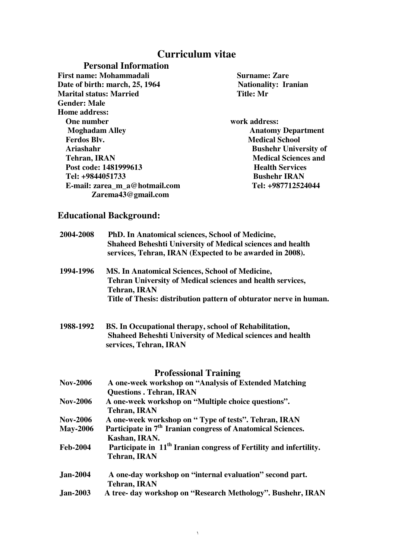# **Curriculum vitae**

## **Personal Information**

First name: Mohammadali **Surname: Zare** Surname: Zare **Date of birth: march, 25, 1964 Surname: Zare Nationality: Iranian Date of birth: march, 25, 1964 Nationality**<br> **Marital status: Married Nationality**<br> **Nationality: Married Nationality Marital status: Married Gender: Male Home address: One number work address: Moghadam Alley Anatomy Department Ferdos Blv.** Medical School **Medical School Ariashahr Bushehr University of Tehran. IRAN Bushehr University of** *Redical Sciences* **and** *Redical Sciences* **and** *Redical Sciences* **and** *Redical Sciences* **and** *Redical Sciences* **and** *Redical Sciences* **and** *Redical Scien* Post code: 1481999613 **Health Services Tel: +9844051733 Bushehr IRAN E-mail: zarea\_m\_a@hotmail.com Tel: +987712524044 Zarema43@gmail.com** 

**Medical Sciences and** 

## **Educational Background:**

| 2004-2008       | PhD. In Anatomical sciences, School of Medicine,<br>Shaheed Beheshti University of Medical sciences and health<br>services, Tehran, IRAN (Expected to be awarded in 2008). |
|-----------------|----------------------------------------------------------------------------------------------------------------------------------------------------------------------------|
| 1994-1996       | <b>MS. In Anatomical Sciences, School of Medicine,</b>                                                                                                                     |
|                 | Tehran University of Medical sciences and health services,<br><b>Tehran, IRAN</b>                                                                                          |
|                 | Title of Thesis: distribution pattern of obturator nerve in human.                                                                                                         |
| 1988-1992       | BS. In Occupational therapy, school of Rehabilitation,                                                                                                                     |
|                 | Shaheed Beheshti University of Medical sciences and health<br>services, Tehran, IRAN                                                                                       |
|                 | <b>Professional Training</b>                                                                                                                                               |
| <b>Nov-2006</b> | A one-week workshop on "Analysis of Extended Matching<br><b>Questions . Tehran, IRAN</b>                                                                                   |
| <b>Nov-2006</b> | A one-week workshop on "Multiple choice questions".<br><b>Tehran, IRAN</b>                                                                                                 |
| <b>Nov-2006</b> | A one-week workshop on "Type of tests". Tehran, IRAN                                                                                                                       |
| <b>May-2006</b> | Participate in 7 <sup>th</sup> Iranian congress of Anatomical Sciences.<br>Kashan, IRAN.                                                                                   |
| <b>Feb-2004</b> | Participate in 11 <sup>th</sup> Iranian congress of Fertility and infertility.<br><b>Tehran, IRAN</b>                                                                      |
| <b>Jan-2004</b> | A one-day workshop on "internal evaluation" second part.                                                                                                                   |
|                 | <b>Tehran, IRAN</b>                                                                                                                                                        |

١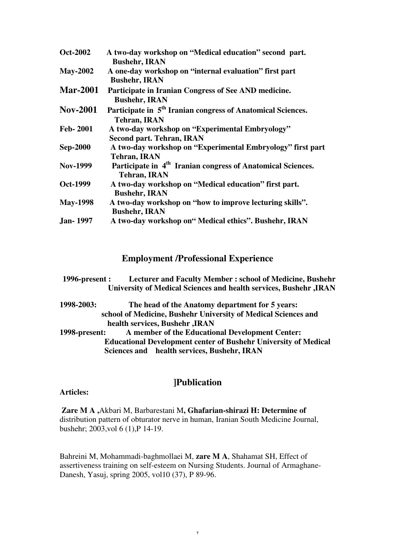| <b>Oct-2002</b> | A two-day workshop on "Medical education" second part.                  |
|-----------------|-------------------------------------------------------------------------|
|                 | <b>Bushehr, IRAN</b>                                                    |
| <b>May-2002</b> | A one-day workshop on "internal evaluation" first part                  |
|                 | <b>Bushehr, IRAN</b>                                                    |
| <b>Mar-2001</b> | Participate in Iranian Congress of See AND medicine.                    |
|                 | <b>Bushehr, IRAN</b>                                                    |
| <b>Nov-2001</b> | Participate in 5 <sup>th</sup> Iranian congress of Anatomical Sciences. |
|                 | <b>Tehran, IRAN</b>                                                     |
| <b>Feb-2001</b> | A two-day workshop on "Experimental Embryology"                         |
|                 | <b>Second part. Tehran, IRAN</b>                                        |
| <b>Sep-2000</b> | A two-day workshop on "Experimental Embryology" first part              |
|                 | <b>Tehran, IRAN</b>                                                     |
| <b>Nov-1999</b> | Participate in 4 <sup>th</sup> Iranian congress of Anatomical Sciences. |
|                 | <b>Tehran, IRAN</b>                                                     |
| Oct-1999        | A two-day workshop on "Medical education" first part.                   |
|                 | <b>Bushehr, IRAN</b>                                                    |
| <b>May-1998</b> | A two-day workshop on "how to improve lecturing skills".                |
|                 | <b>Bushehr, IRAN</b>                                                    |
| <b>Jan-1997</b> | A two-day workshop on" Medical ethics". Bushehr, IRAN                   |

### **Employment /Professional Experience**

**1996-present : Lecturer and Faculty Member : school of Medicine, Bushehr University of Medical Sciences and health services, Bushehr ,IRAN**

**1998-2003: The head of the Anatomy department for 5 years: school of Medicine, Bushehr University of Medical Sciences and health services, Bushehr ,IRAN 1998-present: A member of the Educational Development Center: Educational Development center of Bushehr University of Medical Sciences and health services, Bushehr, IRAN** 

## **]Publication**

#### **Articles:**

 **Zare M A ,**Akbari M, Barbarestani M**, Ghafarian-shirazi H: Determine of**  distribution pattern of obturator nerve in human, Iranian South Medicine Journal, bushehr; 2003,vol 6 (1),P 14-19.

Bahreini M, Mohammadi-baghmollaei M, **zare M A**, Shahamat SH, Effect of assertiveness training on self-esteem on Nursing Students. Journal of Armaghane-Danesh, Yasuj, spring 2005, vol10 (37), P 89-96.